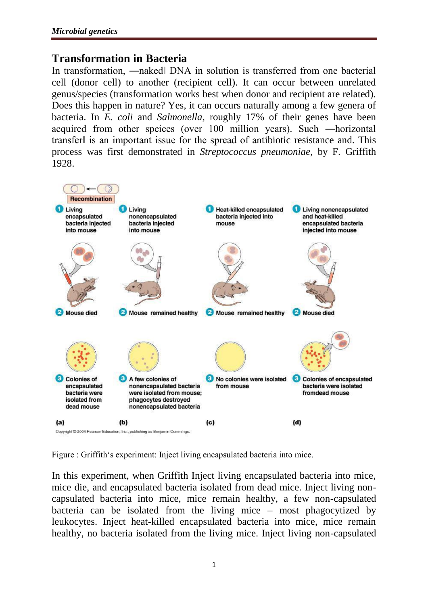## **Transformation in Bacteria**

In transformation, —naked DNA in solution is transferred from one bacterial cell (donor cell) to another (recipient cell). It can occur between unrelated genus/species (transformation works best when donor and recipient are related). Does this happen in nature? Yes, it can occurs naturally among a few genera of bacteria. In *E. coli* and *Salmonella*, roughly 17% of their genes have been acquired from other speices (over 100 million years). Such ―horizontal transfer‖ is an important issue for the spread of antibiotic resistance and. This process was first demonstrated in *Streptococcus pneumoniae*, by F. Griffith 1928.



Figure : Griffith's experiment: Inject living encapsulated bacteria into mice.

In this experiment, when Griffith Inject living encapsulated bacteria into mice, mice die, and encapsulated bacteria isolated from dead mice. Inject living noncapsulated bacteria into mice, mice remain healthy, a few non-capsulated bacteria can be isolated from the living mice – most phagocytized by leukocytes. Inject heat-killed encapsulated bacteria into mice, mice remain healthy, no bacteria isolated from the living mice. Inject living non-capsulated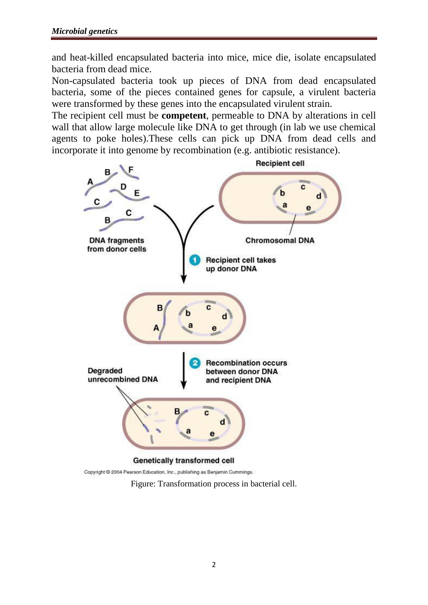and heat-killed encapsulated bacteria into mice, mice die, isolate encapsulated bacteria from dead mice.

Non-capsulated bacteria took up pieces of DNA from dead encapsulated bacteria, some of the pieces contained genes for capsule, a virulent bacteria were transformed by these genes into the encapsulated virulent strain.

The recipient cell must be **competent**, permeable to DNA by alterations in cell wall that allow large molecule like DNA to get through (in lab we use chemical agents to poke holes).These cells can pick up DNA from dead cells and incorporate it into genome by recombination (e.g. antibiotic resistance).



Figure: Transformation process in bacterial cell.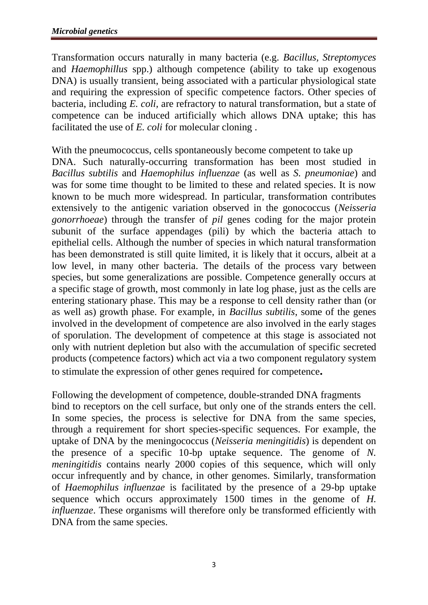Transformation occurs naturally in many bacteria (e.g. *Bacillus, Streptomyces*  and *Haemophillus* spp.) although competence (ability to take up exogenous DNA) is usually transient, being associated with a particular physiological state and requiring the expression of specific competence factors. Other species of bacteria, including *E. coli,* are refractory to natural transformation, but a state of competence can be induced artificially which allows DNA uptake; this has facilitated the use of *E. coli* for molecular cloning .

With the pneumococcus, cells spontaneously become competent to take up DNA. Such naturally-occurring transformation has been most studied in *Bacillus subtilis* and *Haemophilus influenzae* (as well as *S. pneumoniae*) and was for some time thought to be limited to these and related species. It is now known to be much more widespread. In particular, transformation contributes extensively to the antigenic variation observed in the gonococcus (*Neisseria gonorrhoeae*) through the transfer of *pil* genes coding for the major protein subunit of the surface appendages (pili) by which the bacteria attach to epithelial cells. Although the number of species in which natural transformation has been demonstrated is still quite limited, it is likely that it occurs, albeit at a low level, in many other bacteria. The details of the process vary between species, but some generalizations are possible. Competence generally occurs at a specific stage of growth, most commonly in late log phase, just as the cells are entering stationary phase. This may be a response to cell density rather than (or as well as) growth phase. For example, in *Bacillus subtilis*, some of the genes involved in the development of competence are also involved in the early stages of sporulation. The development of competence at this stage is associated not only with nutrient depletion but also with the accumulation of specific secreted products (competence factors) which act via a two component regulatory system to stimulate the expression of other genes required for competence**.**

Following the development of competence, double-stranded DNA fragments bind to receptors on the cell surface, but only one of the strands enters the cell. In some species, the process is selective for DNA from the same species, through a requirement for short species-specific sequences. For example, the uptake of DNA by the meningococcus (*Neisseria meningitidis*) is dependent on the presence of a specific 10-bp uptake sequence. The genome of *N. meningitidis* contains nearly 2000 copies of this sequence, which will only occur infrequently and by chance, in other genomes. Similarly, transformation of *Haemophilus influenzae* is facilitated by the presence of a 29-bp uptake sequence which occurs approximately 1500 times in the genome of *H. influenzae*. These organisms will therefore only be transformed efficiently with DNA from the same species.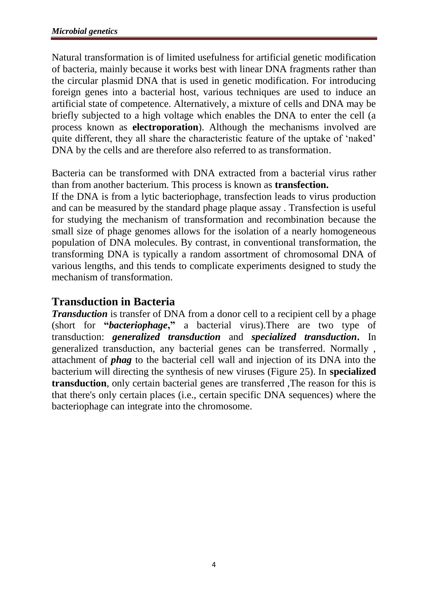Natural transformation is of limited usefulness for artificial genetic modification of bacteria, mainly because it works best with linear DNA fragments rather than the circular plasmid DNA that is used in genetic modification. For introducing foreign genes into a bacterial host, various techniques are used to induce an artificial state of competence. Alternatively, a mixture of cells and DNA may be briefly subjected to a high voltage which enables the DNA to enter the cell (a process known as **electroporation**). Although the mechanisms involved are quite different, they all share the characteristic feature of the uptake of 'naked' DNA by the cells and are therefore also referred to as transformation.

Bacteria can be transformed with DNA extracted from a bacterial virus rather than from another bacterium. This process is known as **transfection.**

If the DNA is from a lytic bacteriophage, transfection leads to virus production and can be measured by the standard phage plaque assay . Transfection is useful for studying the mechanism of transformation and recombination because the small size of phage genomes allows for the isolation of a nearly homogeneous population of DNA molecules. By contrast, in conventional transformation, the transforming DNA is typically a random assortment of chromosomal DNA of various lengths, and this tends to complicate experiments designed to study the mechanism of transformation.

## **Transduction in Bacteria**

*Transduction* is transfer of DNA from a donor cell to a recipient cell by a phage (short for **"***bacteriophage***,"** a bacterial virus).There are two type of transduction: *generalized transduction* and *specialized transduction***.** In generalized transduction, any bacterial genes can be transferred. Normally , attachment of *phag* to the bacterial cell wall and injection of its DNA into the bacterium will directing the synthesis of new viruses (Figure 25). In **specialized transduction**, only certain bacterial genes are transferred ,The reason for this is that there's only certain places (i.e., certain specific DNA sequences) where the bacteriophage can integrate into the chromosome.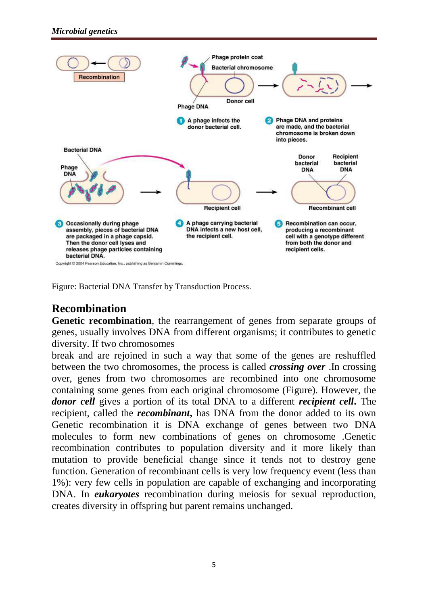

Figure: Bacterial DNA Transfer by Transduction Process.

## **Recombination**

**Genetic recombination**, the rearrangement of genes from separate groups of genes, usually involves DNA from different organisms; it contributes to genetic diversity. If two chromosomes

break and are rejoined in such a way that some of the genes are reshuffled between the two chromosomes, the process is called *crossing over* .In crossing over, genes from two chromosomes are recombined into one chromosome containing some genes from each original chromosome (Figure). However, the *donor cell* gives a portion of its total DNA to a different *recipient cell***.** The recipient, called the *recombinant***,** has DNA from the donor added to its own Genetic recombination it is DNA exchange of genes between two DNA molecules to form new combinations of genes on chromosome .Genetic recombination contributes to population diversity and it more likely than mutation to provide beneficial change since it tends not to destroy gene function. Generation of recombinant cells is very low frequency event (less than 1%): very few cells in population are capable of exchanging and incorporating DNA. In *eukaryotes* recombination during meiosis for sexual reproduction, creates diversity in offspring but parent remains unchanged.